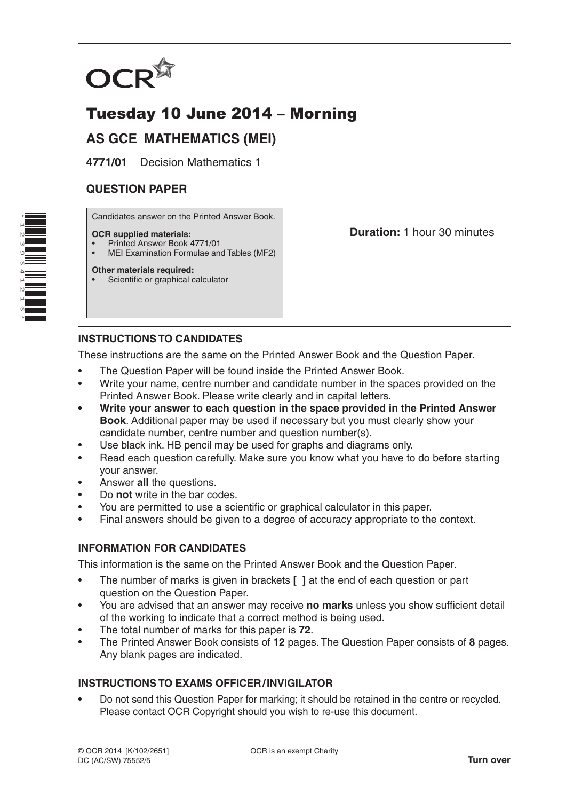

# Tuesday 10 June 2014 – Morning

## **AS GCE MATHEMATICS (MEI)**

**4771/01** Decision Mathematics 1

## **QUESTION PAPER**

Candidates answer on the Printed Answer Book.

#### **OCR supplied materials:**

- Printed Answer Book 4771/01
- MEI Examination Formulae and Tables (MF2)

## **Other materials required:**

Scientific or graphical calculator

**Duration:** 1 hour 30 minutes

## **INSTRUCTIONS TO CANDIDATES**

These instructions are the same on the Printed Answer Book and the Question Paper.

- The Question Paper will be found inside the Printed Answer Book.
- Write your name, centre number and candidate number in the spaces provided on the Printed Answer Book. Please write clearly and in capital letters.
- **• Write your answer to each question in the space provided in the Printed Answer Book**. Additional paper may be used if necessary but you must clearly show your candidate number, centre number and question number(s).
- Use black ink. HB pencil may be used for graphs and diagrams only.
- Read each question carefully. Make sure you know what you have to do before starting your answer.
- Answer **all** the questions.
- Do **not** write in the bar codes.
- You are permitted to use a scientific or graphical calculator in this paper.
- Final answers should be given to a degree of accuracy appropriate to the context.

### **INFORMATION FOR CANDIDATES**

This information is the same on the Printed Answer Book and the Question Paper.

- The number of marks is given in brackets **[ ]** at the end of each question or part question on the Question Paper.
- You are advised that an answer may receive **no marks** unless you show sufficient detail of the working to indicate that a correct method is being used.
- The total number of marks for this paper is **72**.
- The Printed Answer Book consists of **12** pages. The Question Paper consists of **8** pages. Any blank pages are indicated.

## **INSTRUCTIONS TO EXAMS OFFICER/INVIGILATOR**

• Do not send this Question Paper for marking; it should be retained in the centre or recycled. Please contact OCR Copyright should you wish to re-use this document.

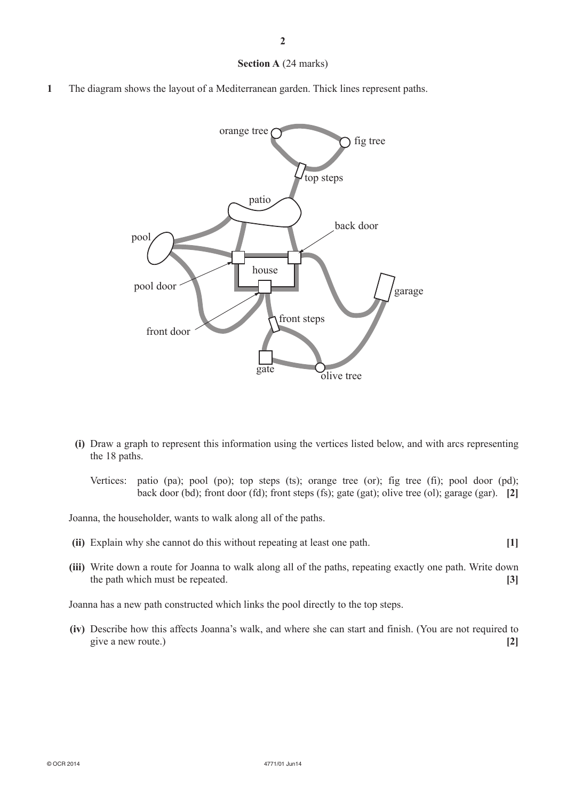#### **Section A** (24 marks)

**1** The diagram shows the layout of a Mediterranean garden. Thick lines represent paths.



- **(i)** Draw a graph to represent this information using the vertices listed below, and with arcs representing the 18 paths.
	- Vertices: patio (pa); pool (po); top steps (ts); orange tree (or); fig tree (fi); pool door (pd); back door (bd); front door (fd); front steps (fs); gate (gat); olive tree (ol); garage (gar). **[2]**

Joanna, the householder, wants to walk along all of the paths.

- **(ii)** Explain why she cannot do this without repeating at least one path. **[1]**
- **(iii)** Write down a route for Joanna to walk along all of the paths, repeating exactly one path. Write down the path which must be repeated. **[3]**

Joanna has a new path constructed which links the pool directly to the top steps.

**(iv)** Describe how this affects Joanna's walk, and where she can start and finish. (You are not required to give a new route.) **[2]**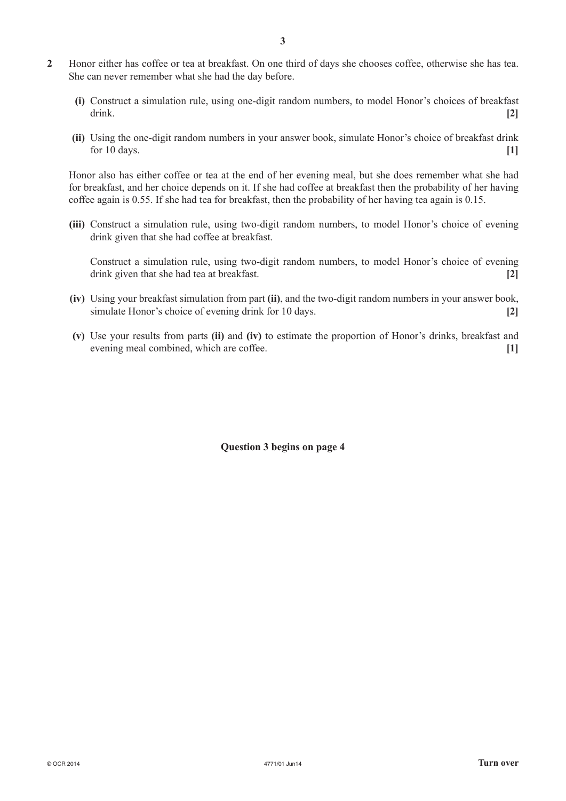- **2** Honor either has coffee or tea at breakfast. On one third of days she chooses coffee, otherwise she has tea. She can never remember what she had the day before.
	- **(i)** Construct a simulation rule, using one-digit random numbers, to model Honor's choices of breakfast drink. **[2]**
	- **(ii)** Using the one-digit random numbers in your answer book, simulate Honor's choice of breakfast drink for 10 days. **[1]**

Honor also has either coffee or tea at the end of her evening meal, but she does remember what she had for breakfast, and her choice depends on it. If she had coffee at breakfast then the probability of her having coffee again is 0.55. If she had tea for breakfast, then the probability of her having tea again is 0.15.

**(iii)** Construct a simulation rule, using two-digit random numbers, to model Honor's choice of evening drink given that she had coffee at breakfast.

Construct a simulation rule, using two-digit random numbers, to model Honor's choice of evening drink given that she had tea at breakfast. **[2]**

- **(iv)** Using your breakfast simulation from part **(ii)**, and the two-digit random numbers in your answer book, simulate Honor's choice of evening drink for 10 days. **[2]**
- **(v)** Use your results from parts **(ii)** and **(iv)** to estimate the proportion of Honor's drinks, breakfast and evening meal combined, which are coffee. **[1]**

**Question 3 begins on page 4**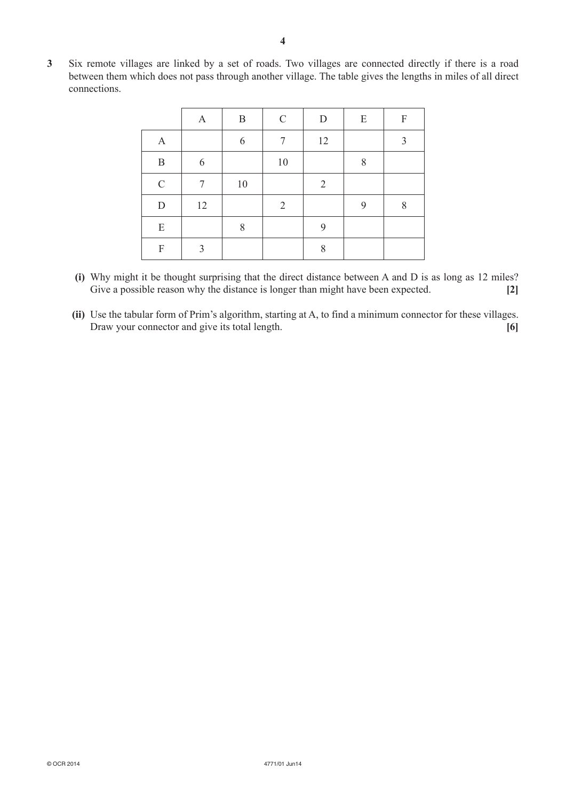**3** Six remote villages are linked by a set of roads. Two villages are connected directly if there is a road between them which does not pass through another village. The table gives the lengths in miles of all direct connections.

|                           | A  | B     | $\mathcal{C}$  | $\mathbf D$    | E | F |
|---------------------------|----|-------|----------------|----------------|---|---|
| $\mathbf{A}$              |    | 6     | 7              | 12             |   | 3 |
| $\, {\bf B}$              | 6  |       | $10\,$         |                | 8 |   |
| $\mathsf C$               | 7  | 10    |                | $\overline{2}$ |   |   |
| $\mathbf D$               | 12 |       | $\overline{2}$ |                | 9 | 8 |
| E                         |    | $8\,$ |                | 9              |   |   |
| $\boldsymbol{\mathrm{F}}$ | 3  |       |                | 8              |   |   |

- **(i)** Why might it be thought surprising that the direct distance between A and D is as long as 12 miles? Give a possible reason why the distance is longer than might have been expected. **[2]**
- **(ii)** Use the tabular form of Prim's algorithm, starting at A, to find a minimum connector for these villages. Draw your connector and give its total length. **[6]** [6]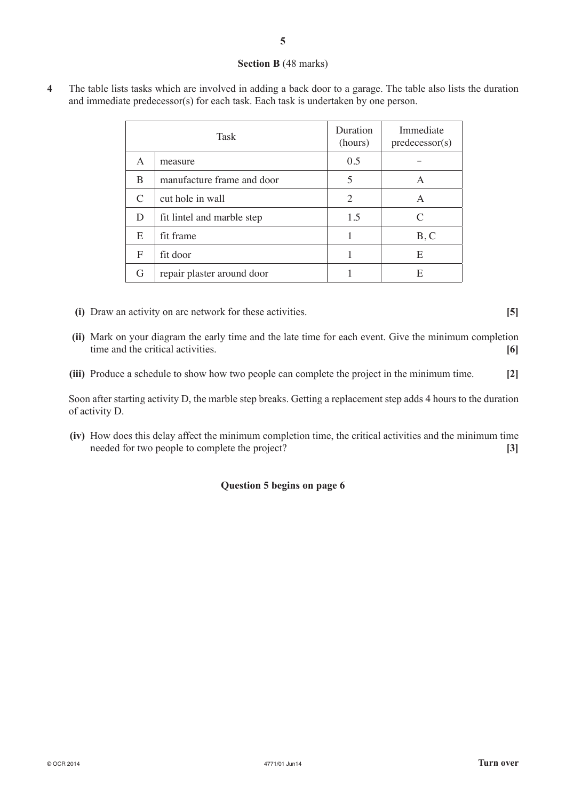#### **Section B** (48 marks)

**4** The table lists tasks which are involved in adding a back door to a garage. The table also lists the duration and immediate predecessor(s) for each task. Each task is undertaken by one person.

|                             | Task                       | Duration<br>(hours) | Immediate<br>predecessor(s) |
|-----------------------------|----------------------------|---------------------|-----------------------------|
| A                           | measure                    | 0.5                 |                             |
| B                           | manufacture frame and door | 5                   | A                           |
| $\mathcal{C}_{\mathcal{C}}$ | cut hole in wall           | 2                   | A                           |
| D                           | fit lintel and marble step | 1.5                 | $\mathcal{C}_{\mathcal{C}}$ |
| E                           | fit frame                  |                     | B, C                        |
| F                           | fit door                   |                     | E                           |
| G                           | repair plaster around door |                     | E                           |

- **(i)** Draw an activity on arc network for these activities. **[5]**
- **(ii)** Mark on your diagram the early time and the late time for each event. Give the minimum completion time and the critical activities. **[6]**
- **(iii)** Produce a schedule to show how two people can complete the project in the minimum time. **[2]**

Soon after starting activity D, the marble step breaks. Getting a replacement step adds 4 hours to the duration of activity D.

**(iv)** How does this delay affect the minimum completion time, the critical activities and the minimum time needed for two people to complete the project? **[3]**

### **Question 5 begins on page 6**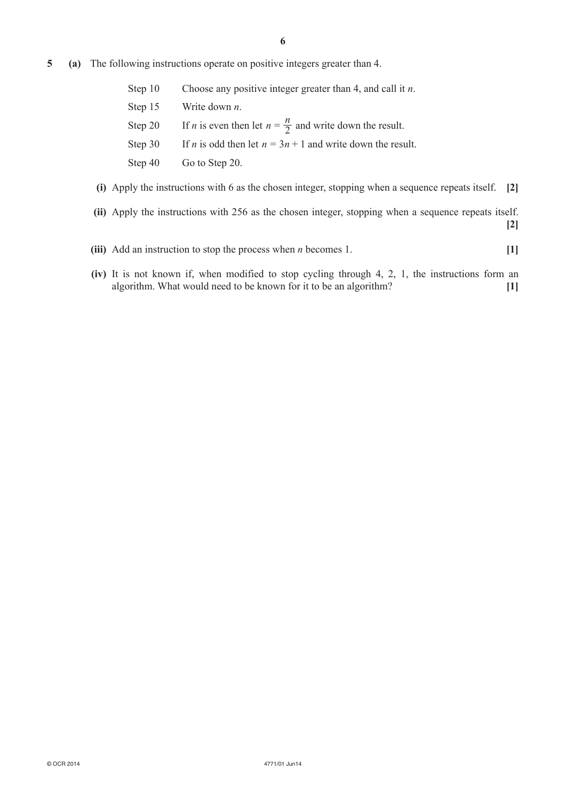- **5 (a)** The following instructions operate on positive integers greater than 4.
	- Step 10 Choose any positive integer greater than 4, and call it *n*.
	- Step 15 Write down *n*.
	- Step 20 If *n* is even then let  $n = \frac{n}{2}$  and write down the result.
	- Step 30 If *n* is odd then let  $n = 3n + 1$  and write down the result.
	- Step 40 Go to Step 20.
	- **(i)** Apply the instructions with 6 as the chosen integer, stopping when a sequence repeats itself. **[2]**
	- **(ii)** Apply the instructions with 256 as the chosen integer, stopping when a sequence repeats itself. **[2]**
	- **(iii)** Add an instruction to stop the process when *n* becomes 1. **[1]**
	- **(iv)** It is not known if, when modified to stop cycling through 4, 2, 1, the instructions form an algorithm. What would need to be known for it to be an algorithm? **[1]**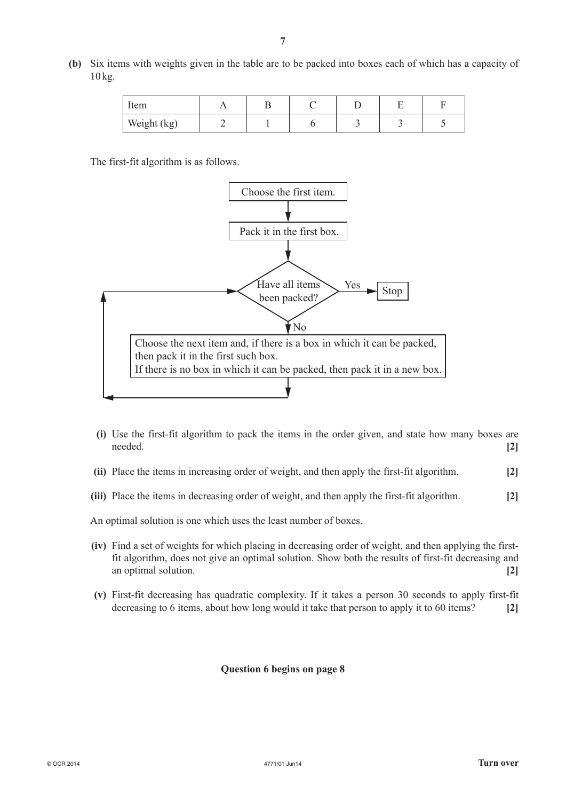- Item | A | B | C | D | E | F Weight (kg)  $\begin{array}{|c|c|c|c|c|c|c|c|c|} \hline 2 & 1 & 6 & 3 & 3 & 5 \ \hline \end{array}$
- **(b)** Six items with weights given in the table are to be packed into boxes each of which has a capacity of 10kg.

The first-fit algorithm is as follows.



- **(i)** Use the first-fit algorithm to pack the items in the order given, and state how many boxes are needed. **[2]**
- **(ii)** Place the items in increasing order of weight, and then apply the first-fit algorithm. **[2]**
- **(iii)** Place the items in decreasing order of weight, and then apply the first-fit algorithm. **[2]**

An optimal solution is one which uses the least number of boxes.

- **(iv)** Find a set of weights for which placing in decreasing order of weight, and then applying the firstfit algorithm, does not give an optimal solution. Show both the results of first-fit decreasing and an optimal solution. **[2]**
- **(v)** First-fit decreasing has quadratic complexity. If it takes a person 30 seconds to apply first-fit decreasing to 6 items, about how long would it take that person to apply it to 60 items? **[2]**

#### **Question 6 begins on page 8**